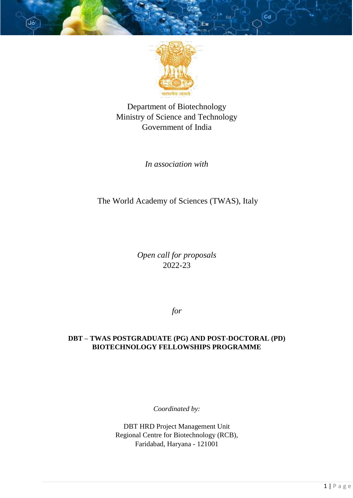

Department of Biotechnology Ministry of Science and Technology Government of India

*In association with* 

# The World Academy of Sciences (TWAS), Italy

*Open call for proposals* 2022-23

*for*

# **DBT – TWAS POSTGRADUATE (PG) AND POST-DOCTORAL (PD) BIOTECHNOLOGY FELLOWSHIPS PROGRAMME**

*Coordinated by:*

DBT HRD Project Management Unit Regional Centre for Biotechnology (RCB), Faridabad, Haryana - 121001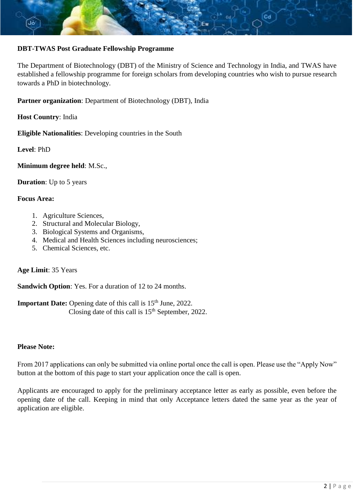

# **DBT-TWAS Post Graduate Fellowship Programme**

The Department of Biotechnology (DBT) of the Ministry of Science and Technology in India, and TWAS have established a fellowship programme for foreign scholars from developing countries who wish to pursue research towards a PhD in biotechnology.

**Partner organization**: Department of Biotechnology (DBT), India

**Host Country**: India

**Eligible Nationalities**: Developing countries in the South

**Level**: PhD

**Minimum degree held**: M.Sc.,

**Duration**: Up to 5 years

#### **Focus Area:**

- 1. Agriculture Sciences,
- 2. Structural and Molecular Biology,
- 3. Biological Systems and Organisms,
- 4. Medical and Health Sciences including neurosciences;
- 5. Chemical Sciences, etc.

## **Age Limit**: 35 Years

**Sandwich Option**: Yes. For a duration of 12 to 24 months.

**Important Date:** Opening date of this call is 15<sup>th</sup> June, 2022. Closing date of this call is  $15<sup>th</sup>$  September, 2022.

# **Please Note:**

From 2017 applications can only be submitted via online portal once the call is open. Please use the "Apply Now" button at the bottom of this page to start your application once the call is open.

Applicants are encouraged to apply for the preliminary acceptance letter as early as possible, even before the opening date of the call. Keeping in mind that only Acceptance letters dated the same year as the year of application are eligible.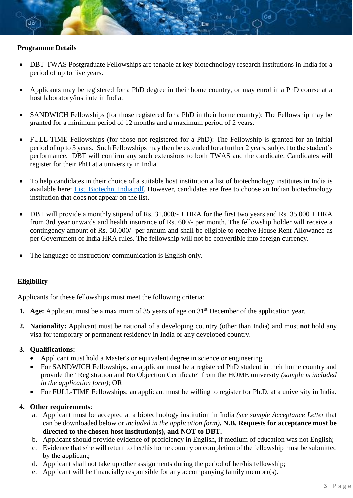

- DBT-TWAS Postgraduate Fellowships are tenable at key biotechnology research institutions in India for a period of up to five years.
- Applicants may be registered for a PhD degree in their home country, or may enrol in a PhD course at a host laboratory/institute in India.
- SANDWICH Fellowships (for those registered for a PhD in their home country): The Fellowship may be granted for a minimum period of 12 months and a maximum period of 2 years.
- FULL-TIME Fellowships (for those not registered for a PhD): The Fellowship is granted for an initial period of up to 3 years. Such Fellowships may then be extended for a further 2 years, subject to the student's performance. DBT will confirm any such extensions to both TWAS and the candidate. Candidates will register for their PhD at a university in India.
- To help candidates in their choice of a suitable host institution a list of biotechnology institutes in India is available here: [List\\_Biotechn\\_India.pdf.](https://twas.org/sites/default/files/2018_dbt_list_of_institutions.pdf) However, candidates are free to choose an Indian biotechnology institution that does not appear on the list.
- DBT will provide a monthly stipend of Rs. 31,000/- + HRA for the first two years and Rs. 35,000 + HRA from 3rd year onwards and health insurance of Rs. 600/- per month. The fellowship holder will receive a contingency amount of Rs. 50,000/- per annum and shall be eligible to receive House Rent Allowance as per Government of India HRA rules. The fellowship will not be convertible into foreign currency.
- The language of instruction/ communication is English only.

# **Eligibility**

Applicants for these fellowships must meet the following criteria:

- **1. Age:** Applicant must be a maximum of 35 years of age on 31<sup>st</sup> December of the application year.
- **2. Nationality:** Applicant must be national of a developing country (other than India) and must **not** hold any visa for temporary or permanent residency in India or any developed country.

## **3. Qualifications:**

- Applicant must hold a Master's or equivalent degree in science or engineering.
- For SANDWICH Fellowships, an applicant must be a registered PhD student in their home country and provide the "Registration and No Objection Certificate" from the HOME university *(sample is included in the application form)*; OR
- For FULL-TIME Fellowships; an applicant must be willing to register for Ph.D. at a university in India.

# **4. Other requirements**:

- a. Applicant must be accepted at a biotechnology institution in India *(see sample Acceptance Letter* that can be downloaded below or *included in the application form)***. N.B. Requests for acceptance must be directed to the chosen host institution(s), and NOT to DBT.**
- b. Applicant should provide evidence of proficiency in English, if medium of education was not English;
- c. Evidence that s/he will return to her/his home country on completion of the fellowship must be submitted by the applicant;
- d. Applicant shall not take up other assignments during the period of her/his fellowship;
- e. Applicant will be financially responsible for any accompanying family member(s).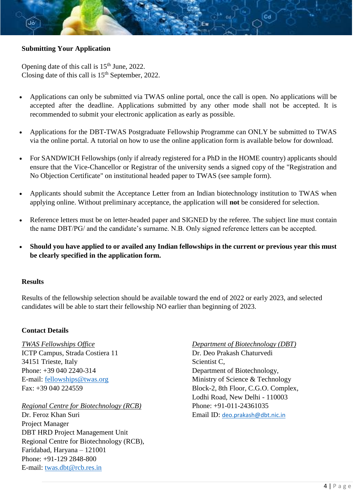# **Submitting Your Application**

Opening date of this call is 15<sup>th</sup> June, 2022. Closing date of this call is  $15<sup>th</sup>$  September, 2022.

- Applications can only be submitted via TWAS online portal, once the call is open. No applications will be accepted after the deadline. Applications submitted by any other mode shall not be accepted. It is recommended to submit your electronic application as early as possible.
- Applications for the DBT-TWAS Postgraduate Fellowship Programme can ONLY be submitted to TWAS via the online portal. A tutorial on how to use the online application form is available below for download.
- For SANDWICH Fellowships (only if already registered for a PhD in the HOME country) applicants should ensure that the Vice-Chancellor or Registrar of the university sends a signed copy of the "Registration and No Objection Certificate" on institutional headed paper to TWAS (see sample form).
- Applicants should submit the Acceptance Letter from an Indian biotechnology institution to TWAS when applying online. Without preliminary acceptance, the application will **not** be considered for selection.
- Reference letters must be on letter-headed paper and SIGNED by the referee. The subject line must contain the name DBT/PG/ and the candidate's surname. N.B. Only signed reference letters can be accepted.
- **Should you have applied to or availed any Indian fellowships in the current or previous year this must be clearly specified in the application form.**

### **Results**

Results of the fellowship selection should be available toward the end of 2022 or early 2023, and selected candidates will be able to start their fellowship NO earlier than beginning of 2023.

#### **Contact Details**

ICTP Campus, Strada Costiera 11 Dr. Deo Prakash Chaturvedi 34151 Trieste, Italy Scientist C, Phone: +39 040 2240-314 Department of Biotechnology,

*Regional Centre for Biotechnology (RCB)* Phone: +91-011-24361035 Dr. Feroz Khan Suri **Email ID:** deo.prakash@dbt.nic.in Project Manager DBT HRD Project Management Unit Regional Centre for Biotechnology (RCB), Faridabad, Haryana – 121001 Phone: +91-129 2848-800 E-mail: [twas.dbt@rcb.res.in](mailto:twas.dbt@rcb.res.in)

*TWAS Fellowships Office Department of Biotechnology (DBT)* E-mail: [fellowships@twas.org](mailto:fellowships@twas.org) Ministry of Science & Technology Fax: +39 040 224559 Block-2, 8th Floor, C.G.O. Complex, Lodhi Road, New Delhi - 110003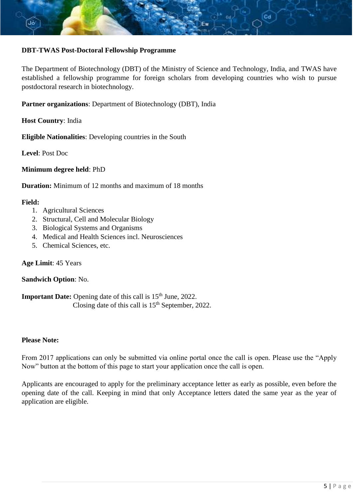

# **DBT-TWAS Post-Doctoral Fellowship Programme**

The Department of Biotechnology (DBT) of the Ministry of Science and Technology, India, and TWAS have established a fellowship programme for foreign scholars from developing countries who wish to pursue postdoctoral research in biotechnology.

**Partner organizations**: Department of Biotechnology (DBT), India

**Host Country**: India

**Eligible Nationalities**: Developing countries in the South

**Level**: Post Doc

**Minimum degree held**: PhD

**Duration:** Minimum of 12 months and maximum of 18 months

#### **Field:**

- 1. Agricultural Sciences
- 2. Structural, Cell and Molecular Biology
- 3. Biological Systems and Organisms
- 4. Medical and Health Sciences incl. Neurosciences
- 5. Chemical Sciences, etc.

# **Age Limit**: 45 Years

#### **Sandwich Option**: No.

**Important Date:** Opening date of this call is 15<sup>th</sup> June, 2022. Closing date of this call is  $15<sup>th</sup>$  September, 2022.

#### **Please Note:**

From 2017 applications can only be submitted via online portal once the call is open. Please use the "Apply Now" button at the bottom of this page to start your application once the call is open.

Applicants are encouraged to apply for the preliminary acceptance letter as early as possible, even before the opening date of the call. Keeping in mind that only Acceptance letters dated the same year as the year of application are eligible.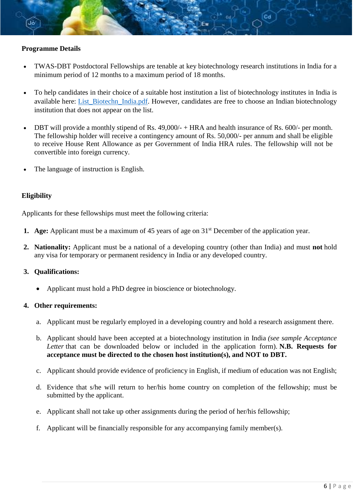### **Programme Details**

- TWAS-DBT Postdoctoral Fellowships are tenable at key biotechnology research institutions in India for a minimum period of 12 months to a maximum period of 18 months.
- To help candidates in their choice of a suitable host institution a list of biotechnology institutes in India is available here: List Biotechn India.pdf. However, candidates are free to choose an Indian biotechnology institution that does not appear on the list.
- DBT will provide a monthly stipend of Rs. 49,000/- + HRA and health insurance of Rs. 600/- per month. The fellowship holder will receive a contingency amount of Rs. 50,000/- per annum and shall be eligible to receive House Rent Allowance as per Government of India HRA rules. The fellowship will not be convertible into foreign currency.
- The language of instruction is English.

#### **Eligibility**

Applicants for these fellowships must meet the following criteria:

- **1. Age:** Applicant must be a maximum of 45 years of age on 31<sup>st</sup> December of the application year.
- **2. Nationality:** Applicant must be a national of a developing country (other than India) and must **not** hold any visa for temporary or permanent residency in India or any developed country.

#### **3. Qualifications:**

Applicant must hold a PhD degree in bioscience or biotechnology.

#### **4. Other requirements:**

- a. Applicant must be regularly employed in a developing country and hold a research assignment there.
- b. Applicant should have been accepted at a biotechnology institution in India *(see sample Acceptance Letter* that can be downloaded below or included in the application form). **N.B. Requests for acceptance must be directed to the chosen host institution(s), and NOT to DBT.**
- c. Applicant should provide evidence of proficiency in English, if medium of education was not English;
- d. Evidence that s/he will return to her/his home country on completion of the fellowship; must be submitted by the applicant.
- e. Applicant shall not take up other assignments during the period of her/his fellowship;
- f. Applicant will be financially responsible for any accompanying family member(s).